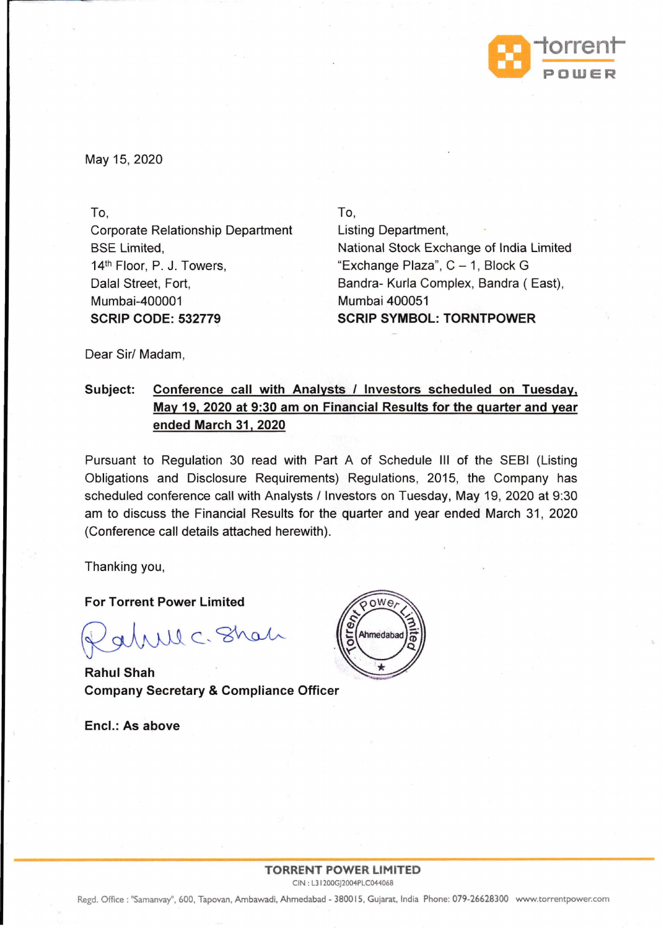

May 15, 2020

To, Corporate Relationship Department BSE Limited, 14th Floor, P. J. Towers, Dalal Street, Fort, Mumbai-400001 **SCRIP CODE: 532779** 

To, Listing Department, National Stock Exchange of India Limited "Exchange Plaza",  $C - 1$ , Block G Bandra- Kurla Complex, Bandra (East), Mumbai 400051 **SCRIP SYMBOL: TORNTPOWER** 

Dear Sir/ Madam,

## **Subject: Conference call with Analysts / Investors scheduled on Tuesday, May 19, 2020 at 9:30 am on Financial Results for the quarter and year ended March 31, 2020**

Pursuant to Regulation 30 read with Part A of Schedule Ill of the SEBI (Listing Obligations and Disclosure Requirements) Regulations, 2015, the Company has scheduled conference call with Analysts / Investors on Tuesday, May 19, 2020 at 9:30 am to discuss the Financial Results for the quarter and year ended March 31, 2020 (Conference call details attached herewith).

Thanking you,

**For Torrent Power Limited** 

Will C. Shah

**Rahul Shah Company Secretary & Compliance Officer** 

**Encl.: As above** 



Regd. Office : "Samanvay", 600, Tapovan, Ambawadi, Ahmedabad - 380015, Gujarat, India Phone: 079-26628300 www.torrentpower.com